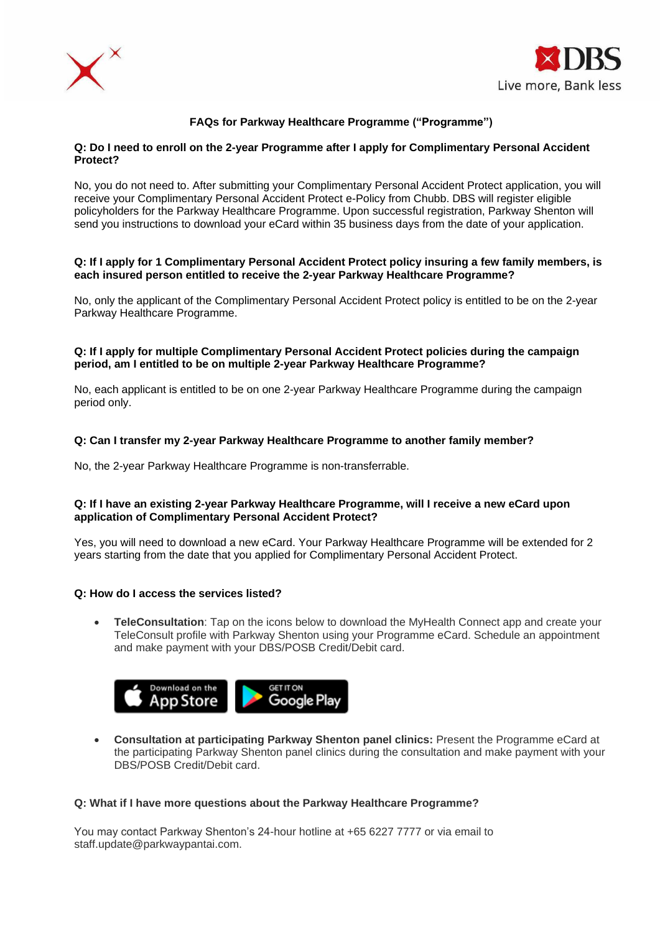



# **FAQs for Parkway Healthcare Programme ("Programme")**

### **Q: Do I need to enroll on the 2-year Programme after I apply for Complimentary Personal Accident Protect?**

No, you do not need to. After submitting your Complimentary Personal Accident Protect application, you will receive your Complimentary Personal Accident Protect e-Policy from Chubb. DBS will register eligible policyholders for the Parkway Healthcare Programme. Upon successful registration, Parkway Shenton will send you instructions to download your eCard within 35 business days from the date of your application.

#### **Q: If I apply for 1 Complimentary Personal Accident Protect policy insuring a few family members, is each insured person entitled to receive the 2-year Parkway Healthcare Programme?**

No, only the applicant of the Complimentary Personal Accident Protect policy is entitled to be on the 2-year Parkway Healthcare Programme.

### **Q: If I apply for multiple Complimentary Personal Accident Protect policies during the campaign period, am I entitled to be on multiple 2-year Parkway Healthcare Programme?**

No, each applicant is entitled to be on one 2-year Parkway Healthcare Programme during the campaign period only.

## **Q: Can I transfer my 2-year Parkway Healthcare Programme to another family member?**

No, the 2-year Parkway Healthcare Programme is non-transferrable.

### **Q: If I have an existing 2-year Parkway Healthcare Programme, will I receive a new eCard upon application of Complimentary Personal Accident Protect?**

Yes, you will need to download a new eCard. Your Parkway Healthcare Programme will be extended for 2 years starting from the date that you applied for Complimentary Personal Accident Protect.

## **[Q: How do I access](https://www.dbs.com.sg/personal/promotion/multigen-protect#subCategoryN101D4) the services listed?**

• **TeleConsultation**: Tap on the icons below to download the MyHealth Connect app and create your TeleConsult profile with Parkway Shenton using your Programme eCard. Schedule an appointment and make payment with your DBS/POSB Credit/Debit card.



• **Consultation at participating Parkway Shenton panel clinics:** Present the Programme eCard at the participating Parkway Shenton panel clinics during the consultation and make payment with your DBS/POSB Credit/Debit card.

#### **Q: What if I have more questions about the Parkway Healthcare Programme?**

You may contact Parkway Shenton's 24-hour hotline at +65 6227 7777 or via email to staff.update@parkwaypantai.com.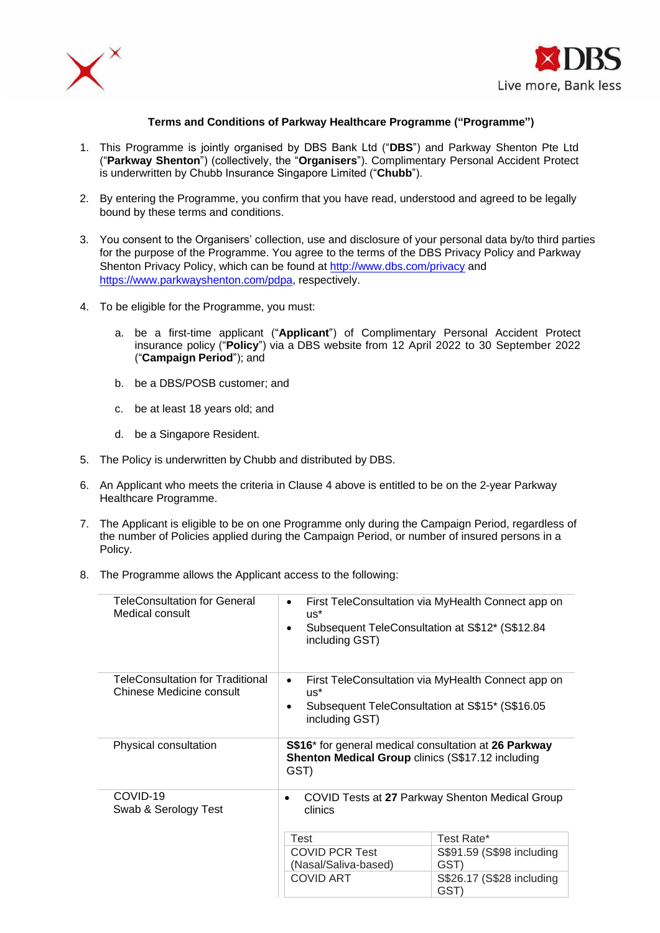



### **Terms and Conditions of Parkway Healthcare Programme ("Programme")**

- 1. This Programme is jointly organised by DBS Bank Ltd ("**DBS**") and Parkway Shenton Pte Ltd ("**Parkway Shenton**") (collectively, the "**Organisers**"). Complimentary Personal Accident Protect is underwritten by Chubb Insurance Singapore Limited ("**Chubb**").
- 2. By entering the Programme, you confirm that you have read, understood and agreed to be legally bound by these terms and conditions.
- 3. You consent to the Organisers' collection, use and disclosure of your personal data by/to third parties for the purpose of the Programme. You agree to the terms of the DBS Privacy Policy and Parkway Shenton Privacy Policy, which can be found at <http://www.dbs.com/privacy> and [https://www.parkwayshenton.com/pdpa,](https://www.parkwayshenton.com/pdpa) respectively.
- 4. To be eligible for the Programme, you must:
	- a. be a first-time applicant ("**Applicant**") of Complimentary Personal Accident Protect insurance policy ("**Policy**") via a DBS website from 12 April 2022 to 30 September 2022 ("**Campaign Period**"); and
	- b. be a DBS/POSB customer; and
	- c. be at least 18 years old; and
	- d. be a Singapore Resident.
- 5. The Policy is underwritten by Chubb and distributed by DBS.
- 6. An Applicant who meets the criteria in Clause 4 above is entitled to be on the 2-year Parkway Healthcare Programme.
- 7. The Applicant is eligible to be on one Programme only during the Campaign Period, regardless of the number of Policies applied during the Campaign Period, or number of insured persons in a Policy.
- 8. The Programme allows the Applicant access to the following:

| <b>TeleConsultation for General</b><br>Medical consult       | First TeleConsultation via MyHealth Connect app on<br>$\bullet$<br>$us^*$<br>Subsequent TeleConsultation at S\$12* (S\$12.84<br>$\bullet$<br>including GST) |                                   |  |  |  |  |
|--------------------------------------------------------------|-------------------------------------------------------------------------------------------------------------------------------------------------------------|-----------------------------------|--|--|--|--|
| TeleConsultation for Traditional<br>Chinese Medicine consult | First TeleConsultation via MyHealth Connect app on<br>$\bullet$<br>$US^*$<br>Subsequent TeleConsultation at S\$15* (S\$16.05<br>$\bullet$<br>including GST) |                                   |  |  |  |  |
| Physical consultation                                        | S\$16* for general medical consultation at 26 Parkway<br><b>Shenton Medical Group clinics (S\$17.12 including</b><br>GST)                                   |                                   |  |  |  |  |
| COVID-19<br>Swab & Serology Test                             | COVID Tests at 27 Parkway Shenton Medical Group<br>٠<br>clinics                                                                                             |                                   |  |  |  |  |
|                                                              | <b>Test</b>                                                                                                                                                 | Test Rate*                        |  |  |  |  |
|                                                              | <b>COVID PCR Test</b><br>(Nasal/Saliva-based)                                                                                                               | S\$91.59 (S\$98 including<br>GST) |  |  |  |  |
|                                                              | <b>COVID ART</b>                                                                                                                                            | S\$26.17 (S\$28 including<br>GST) |  |  |  |  |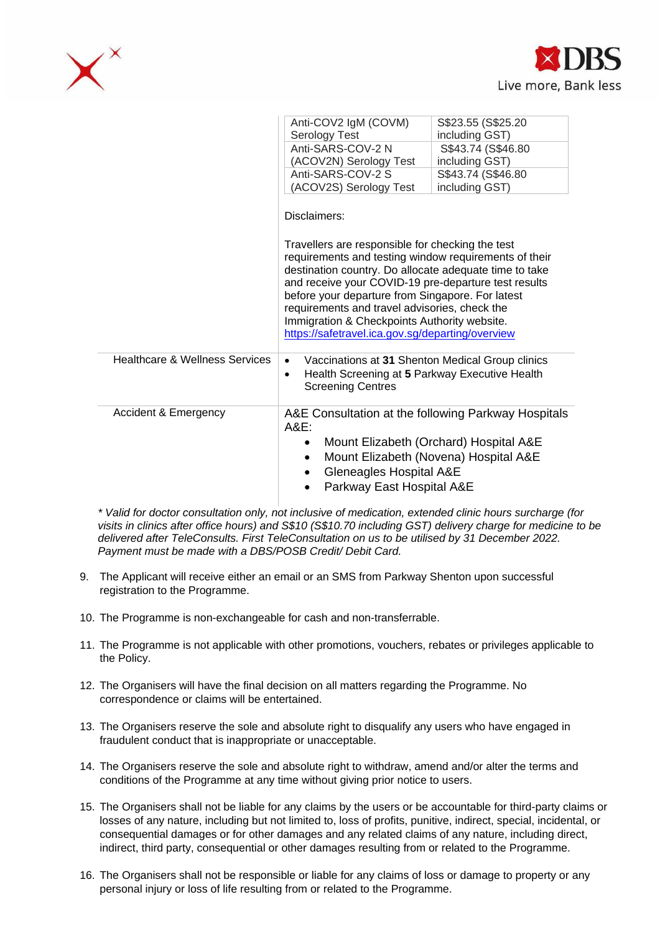



|                                           | Anti-COV2 IgM (COVM)<br>Serology Test                                                                                                                                                                                                                                                                                                                                                                                                                | S\$23.55 (S\$25.20)<br>including GST)                                           |  |  |  |  |
|-------------------------------------------|------------------------------------------------------------------------------------------------------------------------------------------------------------------------------------------------------------------------------------------------------------------------------------------------------------------------------------------------------------------------------------------------------------------------------------------------------|---------------------------------------------------------------------------------|--|--|--|--|
|                                           | Anti-SARS-COV-2 N                                                                                                                                                                                                                                                                                                                                                                                                                                    | S\$43.74 (S\$46.80)                                                             |  |  |  |  |
|                                           | (ACOV2N) Serology Test                                                                                                                                                                                                                                                                                                                                                                                                                               | including GST)                                                                  |  |  |  |  |
|                                           | Anti-SARS-COV-2 S                                                                                                                                                                                                                                                                                                                                                                                                                                    | S\$43.74 (S\$46.80)                                                             |  |  |  |  |
|                                           | (ACOV2S) Serology Test                                                                                                                                                                                                                                                                                                                                                                                                                               | including GST)                                                                  |  |  |  |  |
|                                           | Disclaimers:<br>Travellers are responsible for checking the test<br>requirements and testing window requirements of their<br>destination country. Do allocate adequate time to take<br>and receive your COVID-19 pre-departure test results<br>before your departure from Singapore. For latest<br>requirements and travel advisories, check the<br>Immigration & Checkpoints Authority website.<br>https://safetravel.ica.gov.sg/departing/overview |                                                                                 |  |  |  |  |
| <b>Healthcare &amp; Wellness Services</b> | Vaccinations at 31 Shenton Medical Group clinics<br>$\bullet$<br>Health Screening at 5 Parkway Executive Health<br>$\bullet$<br><b>Screening Centres</b>                                                                                                                                                                                                                                                                                             |                                                                                 |  |  |  |  |
| <b>Accident &amp; Emergency</b>           | A&E Consultation at the following Parkway Hospitals<br>A&E:<br>$\bullet$<br>$\bullet$<br>Gleneagles Hospital A&E<br>Parkway East Hospital A&E<br>$\bullet$                                                                                                                                                                                                                                                                                           | Mount Elizabeth (Orchard) Hospital A&E<br>Mount Elizabeth (Novena) Hospital A&E |  |  |  |  |

*\* Valid for doctor consultation only, not inclusive of medication, extended clinic hours surcharge (for visits in clinics after office hours) and S\$10 (S\$10.70 including GST) delivery charge for medicine to be delivered after TeleConsults. First TeleConsultation on us to be utilised by 31 December 2022. Payment must be made with a DBS/POSB Credit/ Debit Card.*

- 9. The Applicant will receive either an email or an SMS from Parkway Shenton upon successful registration to the Programme.
- 10. The Programme is non-exchangeable for cash and non-transferrable.
- 11. The Programme is not applicable with other promotions, vouchers, rebates or privileges applicable to the Policy.
- 12. The Organisers will have the final decision on all matters regarding the Programme. No correspondence or claims will be entertained.
- 13. The Organisers reserve the sole and absolute right to disqualify any users who have engaged in fraudulent conduct that is inappropriate or unacceptable.
- 14. The Organisers reserve the sole and absolute right to withdraw, amend and/or alter the terms and conditions of the Programme at any time without giving prior notice to users.
- 15. The Organisers shall not be liable for any claims by the users or be accountable for third-party claims or losses of any nature, including but not limited to, loss of profits, punitive, indirect, special, incidental, or consequential damages or for other damages and any related claims of any nature, including direct, indirect, third party, consequential or other damages resulting from or related to the Programme.
- 16. The Organisers shall not be responsible or liable for any claims of loss or damage to property or any personal injury or loss of life resulting from or related to the Programme.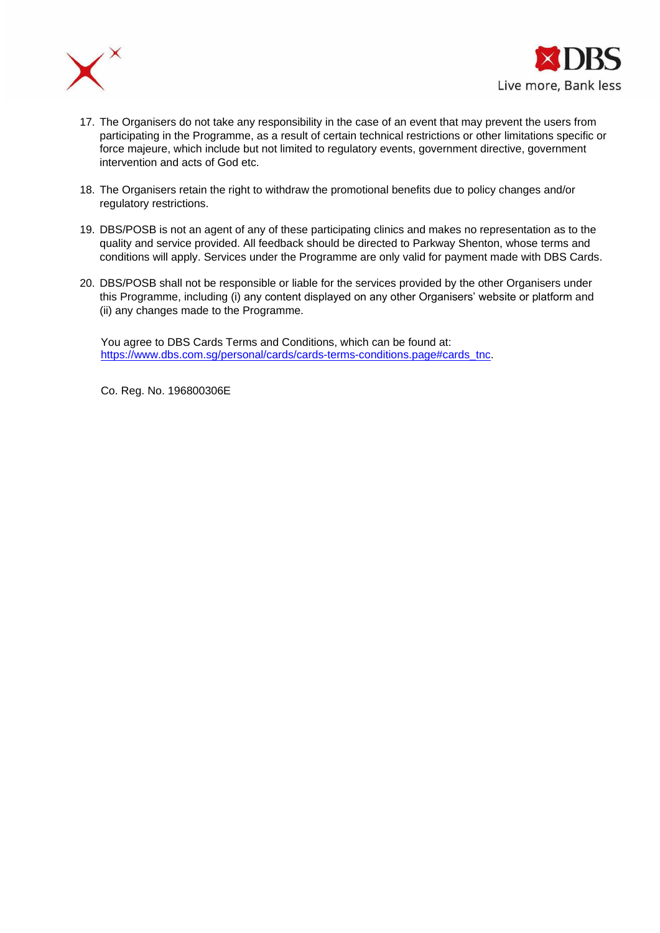



- 17. The Organisers do not take any responsibility in the case of an event that may prevent the users from participating in the Programme, as a result of certain technical restrictions or other limitations specific or force majeure, which include but not limited to regulatory events, government directive, government intervention and acts of God etc.
- 18. The Organisers retain the right to withdraw the promotional benefits due to policy changes and/or regulatory restrictions.
- 19. DBS/POSB is not an agent of any of these participating clinics and makes no representation as to the quality and service provided. All feedback should be directed to Parkway Shenton, whose terms and conditions will apply. Services under the Programme are only valid for payment made with DBS Cards.
- 20. DBS/POSB shall not be responsible or liable for the services provided by the other Organisers under this Programme, including (i) any content displayed on any other Organisers' website or platform and (ii) any changes made to the Programme.

You agree to DBS Cards Terms and Conditions, which can be found at: [https://www.dbs.com.sg/personal/cards/cards-terms-conditions.page#cards\\_tnc.](https://www.dbs.com.sg/personal/cards/cards-terms-conditions.page#cards_tnc)

Co. Reg. No. 196800306E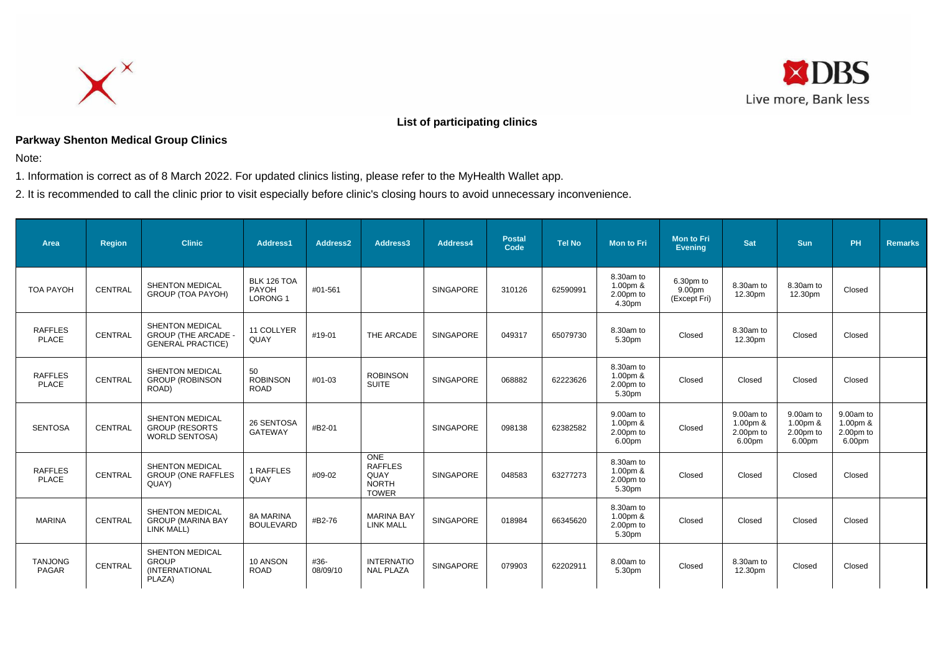



# **List of participating clinics**

# **Parkway Shenton Medical Group Clinics**

Note:

1. Information is correct as of 8 March 2022. For updated clinics listing, please refer to the MyHealth Wallet app.

2. It is recommended to call the clinic prior to visit especially before clinic's closing hours to avoid unnecessary inconvenience.

| Area                           | <b>Region</b>  | <b>Clinic</b>                                                                    | Address1                               | Address2         | Address3                                                             | Address4         | <b>Postal</b><br>Code | <b>Tel No</b> | Mon to Fri                                     | <b>Mon to Fri</b><br><b>Evening</b>             | Sat                                              | Sun                                              | PH                                             | <b>Remarks</b> |
|--------------------------------|----------------|----------------------------------------------------------------------------------|----------------------------------------|------------------|----------------------------------------------------------------------|------------------|-----------------------|---------------|------------------------------------------------|-------------------------------------------------|--------------------------------------------------|--------------------------------------------------|------------------------------------------------|----------------|
| <b>TOA PAYOH</b>               | <b>CENTRAL</b> | <b>SHENTON MEDICAL</b><br>GROUP (TOA PAYOH)                                      | BLK 126 TOA<br>PAYOH<br><b>LORONG1</b> | #01-561          |                                                                      | <b>SINGAPORE</b> | 310126                | 62590991      | 8.30am to<br>1.00pm &<br>2.00pm to<br>4.30pm   | 6.30pm to<br>9.00 <sub>pm</sub><br>(Except Fri) | 8.30am to<br>12.30pm                             | 8.30am to<br>12.30pm                             | Closed                                         |                |
| <b>RAFFLES</b><br><b>PLACE</b> | <b>CENTRAL</b> | <b>SHENTON MEDICAL</b><br><b>GROUP (THE ARCADE -</b><br><b>GENERAL PRACTICE)</b> | 11 COLLYER<br>QUAY                     | #19-01           | THE ARCADE                                                           | <b>SINGAPORE</b> | 049317                | 65079730      | 8.30am to<br>5.30pm                            | Closed                                          | 8.30am to<br>12.30pm                             | Closed                                           | Closed                                         |                |
| <b>RAFFLES</b><br><b>PLACE</b> | <b>CENTRAL</b> | <b>SHENTON MEDICAL</b><br><b>GROUP (ROBINSON</b><br>ROAD)                        | 50<br><b>ROBINSON</b><br><b>ROAD</b>   | #01-03           | <b>ROBINSON</b><br><b>SUITE</b>                                      | <b>SINGAPORE</b> | 068882                | 62223626      | 8.30am to<br>1.00pm &<br>2.00pm to<br>5.30pm   | Closed                                          | Closed                                           | Closed                                           | Closed                                         |                |
| <b>SENTOSA</b>                 | <b>CENTRAL</b> | SHENTON MEDICAL<br><b>GROUP (RESORTS</b><br><b>WORLD SENTOSA)</b>                | 26 SENTOSA<br><b>GATEWAY</b>           | #B2-01           |                                                                      | <b>SINGAPORE</b> | 098138                | 62382582      | 9.00am to<br>1.00pm &<br>2.00pm to<br>6.00pm   | Closed                                          | 9.00am to<br>$1.00pm$ &<br>$2.00pm$ to<br>6.00pm | 9.00am to<br>$1.00pm$ &<br>$2.00pm$ to<br>6.00pm | 9.00am to<br>1.00pm &<br>$2.00pm$ to<br>6.00pm |                |
| <b>RAFFLES</b><br><b>PLACE</b> | <b>CENTRAL</b> | SHENTON MEDICAL<br><b>GROUP (ONE RAFFLES</b><br>QUAY)                            | 1 RAFFLES<br>QUAY                      | #09-02           | <b>ONE</b><br><b>RAFFLES</b><br>QUAY<br><b>NORTH</b><br><b>TOWER</b> | <b>SINGAPORE</b> | 048583                | 63277273      | 8.30am to<br>1.00pm &<br>2.00pm to<br>5.30pm   | Closed                                          | Closed                                           | Closed                                           | Closed                                         |                |
| <b>MARINA</b>                  | CENTRAL        | SHENTON MEDICAL<br><b>GROUP (MARINA BAY</b><br>LINK MALL)                        | <b>8A MARINA</b><br><b>BOULEVARD</b>   | #B2-76           | <b>MARINA BAY</b><br><b>LINK MALL</b>                                | <b>SINGAPORE</b> | 018984                | 66345620      | 8.30am to<br>$1.00pm$ &<br>2.00pm to<br>5.30pm | Closed                                          | Closed                                           | Closed                                           | Closed                                         |                |
| <b>TANJONG</b><br>PAGAR        | <b>CENTRAL</b> | <b>SHENTON MEDICAL</b><br><b>GROUP</b><br>(INTERNATIONAL<br>PLAZA)               | 10 ANSON<br><b>ROAD</b>                | #36-<br>08/09/10 | <b>INTERNATIO</b><br><b>NAL PLAZA</b>                                | <b>SINGAPORE</b> | 079903                | 62202911      | 8.00am to<br>5.30pm                            | Closed                                          | 8.30am to<br>12.30pm                             | Closed                                           | Closed                                         |                |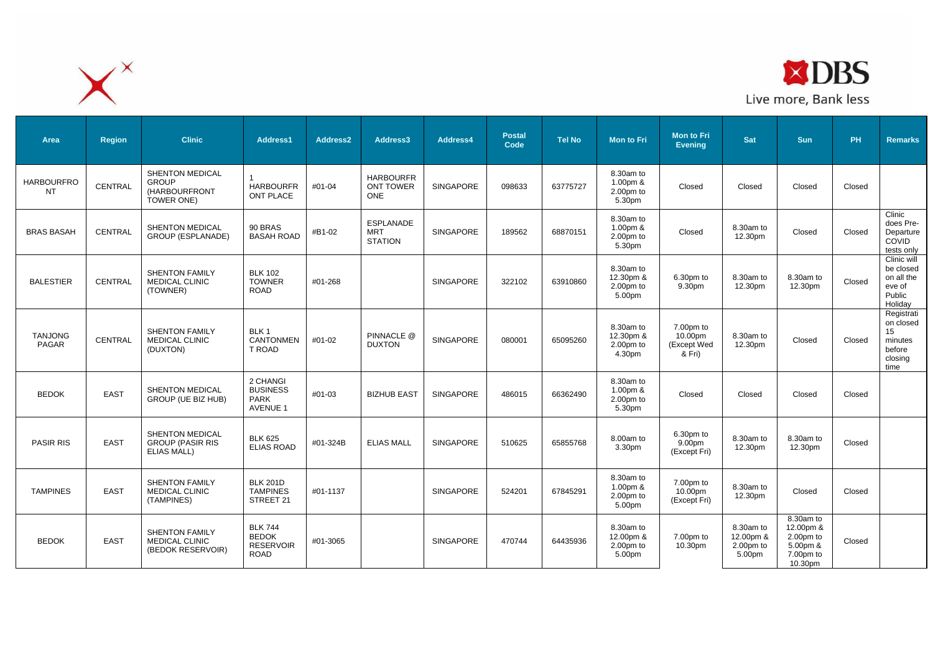



| Area                           | <b>Region</b>  | <b>Clinic</b>                                                           | Address1                                                          | Address2 | Address3                                           | Address4         | <b>Postal</b><br>Code | <b>Tel No</b> | Mon to Fri                                      | <b>Mon to Fri</b><br><b>Evening</b>           | Sat                                             | <b>Sun</b>                                                              | PH     | <b>Remarks</b>                                                        |
|--------------------------------|----------------|-------------------------------------------------------------------------|-------------------------------------------------------------------|----------|----------------------------------------------------|------------------|-----------------------|---------------|-------------------------------------------------|-----------------------------------------------|-------------------------------------------------|-------------------------------------------------------------------------|--------|-----------------------------------------------------------------------|
| <b>HARBOURFRO</b><br><b>NT</b> | CENTRAL        | SHENTON MEDICAL<br><b>GROUP</b><br>(HARBOURFRONT<br><b>TOWER ONE)</b>   | <b>HARBOURFR</b><br><b>ONT PLACE</b>                              | #01-04   | <b>HARBOURFR</b><br><b>ONT TOWER</b><br><b>ONE</b> | SINGAPORE        | 098633                | 63775727      | 8.30am to<br>1.00pm &<br>$2.00pm$ to<br>5.30pm  | Closed                                        | Closed                                          | Closed                                                                  | Closed |                                                                       |
| <b>BRAS BASAH</b>              | <b>CENTRAL</b> | <b>SHENTON MEDICAL</b><br>GROUP (ESPLANADE)                             | 90 BRAS<br><b>BASAH ROAD</b>                                      | #B1-02   | <b>ESPLANADE</b><br><b>MRT</b><br><b>STATION</b>   | <b>SINGAPORE</b> | 189562                | 68870151      | 8.30am to<br>1.00pm &<br>2.00pm to<br>5.30pm    | Closed                                        | 8.30am to<br>12.30pm                            | Closed                                                                  | Closed | Clinic<br>does Pre-<br>Departure<br>COVID<br>tests only               |
| <b>BALESTIER</b>               | <b>CENTRAL</b> | <b>SHENTON FAMILY</b><br><b>MEDICAL CLINIC</b><br>(TOWNER)              | <b>BLK 102</b><br><b>TOWNER</b><br><b>ROAD</b>                    | #01-268  |                                                    | <b>SINGAPORE</b> | 322102                | 63910860      | 8.30am to<br>12.30pm &<br>$2.00pm$ to<br>5.00pm | 6.30pm to<br>9.30pm                           | 8.30am to<br>12.30pm                            | 8.30am to<br>12.30pm                                                    | Closed | Clinic will<br>be closed<br>on all the<br>eve of<br>Public<br>Holidav |
| <b>TANJONG</b><br>PAGAR        | CENTRAL        | <b>SHENTON FAMILY</b><br><b>MEDICAL CLINIC</b><br>(DUXTON)              | BLK 1<br><b>CANTONMEN</b><br>T ROAD                               | #01-02   | PINNACLE @<br><b>DUXTON</b>                        | SINGAPORE        | 080001                | 65095260      | 8.30am to<br>12.30pm &<br>2.00pm to<br>4.30pm   | 7.00pm to<br>10.00pm<br>(Except Wed<br>& Fri) | 8.30am to<br>12.30pm                            | Closed                                                                  | Closed | Registrati<br>on closed<br>15<br>minutes<br>before<br>closing<br>time |
| <b>BEDOK</b>                   | <b>EAST</b>    | <b>SHENTON MEDICAL</b><br>GROUP (UE BIZ HUB)                            | 2 CHANGI<br><b>BUSINESS</b><br><b>PARK</b><br><b>AVENUE 1</b>     | #01-03   | <b>BIZHUB EAST</b>                                 | <b>SINGAPORE</b> | 486015                | 66362490      | 8.30am to<br>$1.00pm$ &<br>2.00pm to<br>5.30pm  | Closed                                        | Closed                                          | Closed                                                                  | Closed |                                                                       |
| <b>PASIR RIS</b>               | <b>EAST</b>    | <b>SHENTON MEDICAL</b><br><b>GROUP (PASIR RIS</b><br><b>ELIAS MALL)</b> | <b>BLK 625</b><br><b>ELIAS ROAD</b>                               | #01-324B | <b>ELIAS MALL</b>                                  | SINGAPORE        | 510625                | 65855768      | 8.00am to<br>3.30pm                             | 6.30pm to<br>9.00pm<br>(Except Fri)           | 8.30am to<br>12.30pm                            | 8.30am to<br>12.30pm                                                    | Closed |                                                                       |
| <b>TAMPINES</b>                | <b>EAST</b>    | <b>SHENTON FAMILY</b><br><b>MEDICAL CLINIC</b><br>(TAMPINES)            | <b>BLK 201D</b><br><b>TAMPINES</b><br>STREET 21                   | #01-1137 |                                                    | SINGAPORE        | 524201                | 67845291      | 8.30am to<br>1.00pm &<br>2.00pm to<br>5.00pm    | 7.00pm to<br>10.00pm<br>(Except Fri)          | 8.30am to<br>12.30pm                            | Closed                                                                  | Closed |                                                                       |
| <b>BEDOK</b>                   | <b>EAST</b>    | SHENTON FAMILY<br><b>MEDICAL CLINIC</b><br>(BEDOK RESERVOIR)            | <b>BLK 744</b><br><b>BEDOK</b><br><b>RESERVOIR</b><br><b>ROAD</b> | #01-3065 |                                                    | <b>SINGAPORE</b> | 470744                | 64435936      | 8.30am to<br>12.00pm &<br>$2.00pm$ to<br>5.00pm | 7.00pm to<br>10.30pm                          | 8.30am to<br>12.00pm &<br>$2.00pm$ to<br>5.00pm | 8.30am to<br>12.00pm &<br>2.00pm to<br>5.00pm &<br>7.00pm to<br>10.30pm | Closed |                                                                       |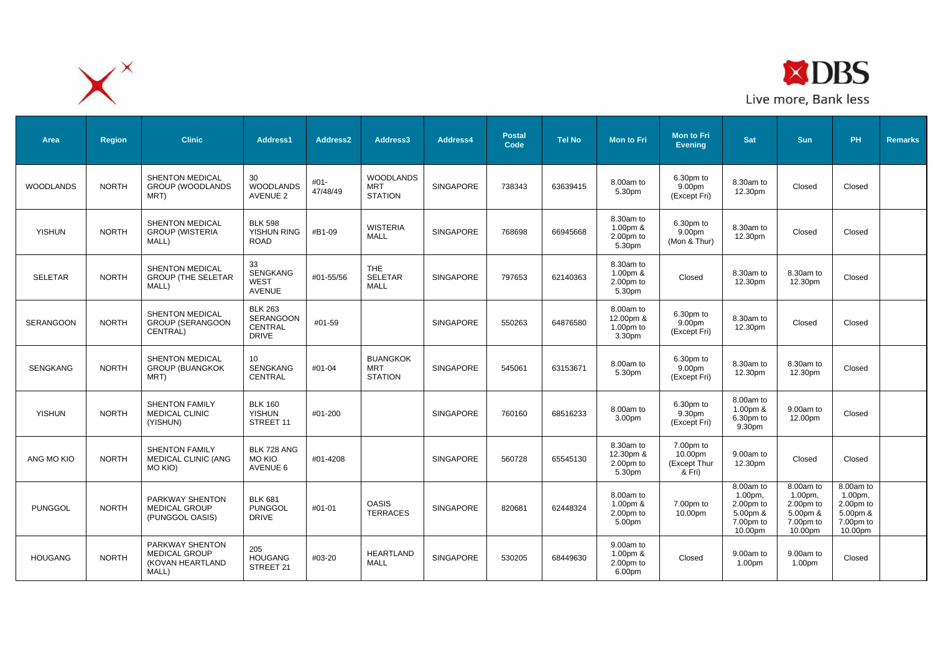



| Area             | <b>Region</b> | <b>Clinic</b>                                                        | Address1                                                      | Address2         | Address3                                         | Address4         | <b>Postal</b><br>Code | <b>Tel No</b> | <b>Mon to Fri</b>                             | <b>Mon to Fri</b><br><b>Evening</b>                        | <b>Sat</b>                                                            | <b>Sun</b>                                                            | <b>PH</b>                                                                        | <b>Remarks</b> |
|------------------|---------------|----------------------------------------------------------------------|---------------------------------------------------------------|------------------|--------------------------------------------------|------------------|-----------------------|---------------|-----------------------------------------------|------------------------------------------------------------|-----------------------------------------------------------------------|-----------------------------------------------------------------------|----------------------------------------------------------------------------------|----------------|
| <b>WOODLANDS</b> | <b>NORTH</b>  | SHENTON MEDICAL<br><b>GROUP (WOODLANDS</b><br>MRT)                   | 30<br><b>WOODLANDS</b><br><b>AVENUE 2</b>                     | #01-<br>47/48/49 | <b>WOODLANDS</b><br><b>MRT</b><br><b>STATION</b> | SINGAPORE        | 738343                | 63639415      | 8.00am to<br>5.30pm                           | 6.30pm to<br>9.00pm<br>(Except Fri)                        | 8.30am to<br>12.30pm                                                  | Closed                                                                | Closed                                                                           |                |
| <b>YISHUN</b>    | <b>NORTH</b>  | <b>SHENTON MEDICAL</b><br><b>GROUP (WISTERIA</b><br>MALL)            | <b>BLK 598</b><br>YISHUN RING<br><b>ROAD</b>                  | #B1-09           | <b>WISTERIA</b><br>MALL                          | SINGAPORE        | 768698                | 66945668      | 8.30am to<br>1.00pm &<br>2.00pm to<br>5.30pm  | 6.30pm to<br>9.00 <sub>pm</sub><br>(Mon & Thur)            | 8.30am to<br>12.30pm                                                  | Closed                                                                | Closed                                                                           |                |
| <b>SELETAR</b>   | <b>NORTH</b>  | SHENTON MEDICAL<br><b>GROUP (THE SELETAR)</b><br>MALL)               | 33<br><b>SENGKANG</b><br><b>WEST</b><br><b>AVENUE</b>         | #01-55/56        | <b>THE</b><br><b>SELETAR</b><br><b>MALL</b>      | <b>SINGAPORE</b> | 797653                | 62140363      | 8.30am to<br>1.00pm &<br>2.00pm to<br>5.30pm  | Closed                                                     | 8.30am to<br>12.30pm                                                  | 8.30am to<br>12.30pm                                                  | Closed                                                                           |                |
| <b>SERANGOON</b> | <b>NORTH</b>  | <b>SHENTON MEDICAL</b><br><b>GROUP (SERANGOON</b><br>CENTRAL)        | <b>BLK 263</b><br><b>SERANGOON</b><br>CENTRAL<br><b>DRIVE</b> | #01-59           |                                                  | SINGAPORE        | 550263                | 64876580      | 8.00am to<br>12.00pm &<br>1.00pm to<br>3.30pm | 6.30pm to<br>9.00pm<br>(Except Fri)                        | 8.30am to<br>12.30pm                                                  | Closed                                                                | Closed                                                                           |                |
| <b>SENGKANG</b>  | <b>NORTH</b>  | <b>SHENTON MEDICAL</b><br><b>GROUP (BUANGKOK</b><br>MRT)             | 10<br>SENGKANG<br>CENTRAL                                     | #01-04           | <b>BUANGKOK</b><br><b>MRT</b><br><b>STATION</b>  | <b>SINGAPORE</b> | 545061                | 63153671      | 8.00am to<br>5.30pm                           | 6.30pm to<br>9.00 <sub>pm</sub><br>(Except Fri)            | 8.30am to<br>12.30pm                                                  | 8.30am to<br>12.30pm                                                  | Closed                                                                           |                |
| <b>YISHUN</b>    | <b>NORTH</b>  | <b>SHENTON FAMILY</b><br>MEDICAL CLINIC<br>(YISHUN)                  | <b>BLK 160</b><br><b>YISHUN</b><br>STREET 11                  | #01-200          |                                                  | <b>SINGAPORE</b> | 760160                | 68516233      | 8.00am to<br>3.00pm                           | 6.30pm to<br>9.30pm<br>(Except Fri)                        | 8.00am to<br>1.00pm &<br>6.30pm to<br>9.30pm                          | 9.00am to<br>12.00pm                                                  | Closed                                                                           |                |
| ANG MO KIO       | <b>NORTH</b>  | <b>SHENTON FAMILY</b><br>MEDICAL CLINIC (ANG<br>MO KIO)              | BLK 728 ANG<br><b>MO KIO</b><br>AVENUE 6                      | #01-4208         |                                                  | <b>SINGAPORE</b> | 560728                | 65545130      | 8.30am to<br>12.30pm &<br>2.00pm to<br>5.30pm | 7.00pm to<br>10.00 <sub>pm</sub><br>(Except Thur<br>& Fri) | 9.00am to<br>12.30pm                                                  | Closed                                                                | Closed                                                                           |                |
| <b>PUNGGOL</b>   | <b>NORTH</b>  | PARKWAY SHENTON<br><b>MEDICAL GROUP</b><br>(PUNGGOL OASIS)           | <b>BLK 681</b><br><b>PUNGGOL</b><br><b>DRIVE</b>              | #01-01           | <b>OASIS</b><br><b>TERRACES</b>                  | <b>SINGAPORE</b> | 820681                | 62448324      | 8.00am to<br>1.00pm &<br>2.00pm to<br>5.00pm  | 7.00pm to<br>10.00pm                                       | 8.00am to<br>1.00pm,<br>2.00pm to<br>5.00pm &<br>7.00pm to<br>10.00pm | 8.00am to<br>1.00pm,<br>2.00pm to<br>5.00pm &<br>7.00pm to<br>10.00pm | 8.00am to<br>1.00 <sub>pm</sub><br>2.00pm to<br>5.00pm &<br>7.00pm to<br>10.00pm |                |
| <b>HOUGANG</b>   | <b>NORTH</b>  | PARKWAY SHENTON<br><b>MEDICAL GROUP</b><br>(KOVAN HEARTLAND<br>MALL) | 205<br><b>HOUGANG</b><br>STREET 21                            | #03-20           | <b>HEARTLAND</b><br><b>MALL</b>                  | <b>SINGAPORE</b> | 530205                | 68449630      | 9.00am to<br>1.00pm &<br>2.00pm to<br>6.00pm  | Closed                                                     | 9.00am to<br>1.00pm                                                   | 9.00am to<br>1.00pm                                                   | Closed                                                                           |                |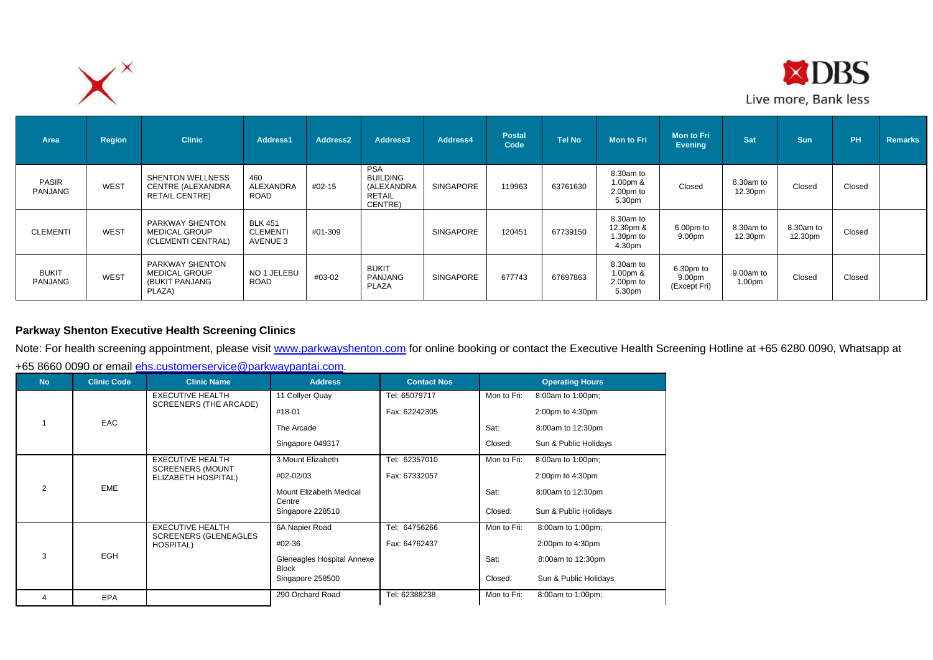



| Area                    | Region | <b>Clinic</b>                                                         | Address1                                      | Address <sub>2</sub> | Address3                                                                | Address4         | <b>Postal</b><br>Code | <b>Tel No</b> | <b>Mon to Fri</b>                               | <b>Mon to Fri</b><br>Evening        | Sat                  | <b>Sun</b>           | <b>PH</b> | <b>Remarks</b> |
|-------------------------|--------|-----------------------------------------------------------------------|-----------------------------------------------|----------------------|-------------------------------------------------------------------------|------------------|-----------------------|---------------|-------------------------------------------------|-------------------------------------|----------------------|----------------------|-----------|----------------|
| <b>PASIR</b><br>PANJANG | WEST   | <b>SHENTON WELLNESS</b><br>CENTRE (ALEXANDRA<br><b>RETAIL CENTRE)</b> | 460<br>ALEXANDRA<br>ROAD                      | #02-15               | <b>PSA</b><br><b>BUILDING</b><br>(ALEXANDRA<br><b>RETAIL</b><br>CENTRE) | <b>SINGAPORE</b> | 119963                | 63761630      | 8.30am to<br>1.00pm &<br>2.00pm to<br>5.30pm    | Closed                              | 8.30am to<br>12.30pm | Closed               | Closed    |                |
| <b>CLEMENTI</b>         | WEST   | PARKWAY SHENTON<br><b>MEDICAL GROUP</b><br>(CLEMENTI CENTRAL)         | <b>BLK 451</b><br><b>CLEMENTI</b><br>AVENUE 3 | #01-309              |                                                                         | <b>SINGAPORE</b> | 120451                | 67739150      | 8.30am to<br>12.30pm &<br>$1.30pm$ to<br>4.30pm | 6.00pm to<br>9.00pm                 | 8.30am to<br>12.30pm | 8.30am to<br>12.30pm | Closed    |                |
| <b>BUKIT</b><br>PANJANG | WEST   | PARKWAY SHENTON<br><b>MEDICAL GROUP</b><br>(BUKIT PANJANG<br>PLAZA)   | NO 1 JELEBU<br>ROAD                           | #03-02               | <b>BUKIT</b><br>PANJANG<br><b>PLAZA</b>                                 | <b>SINGAPORE</b> | 677743                | 67697863      | 8.30am to<br>1.00pm $8$<br>2.00pm to<br>5.30pm  | 6.30pm to<br>9.00pm<br>(Except Fri) | 9.00am to<br>1.00pm  | Closed               | Closed    |                |

# **Parkway Shenton Executive Health Screening Clinics**

Note: For health screening appointment, please visit [www.parkwayshenton.com](http://www.parkwayshenton.com/) for online booking or contact the Executive Health Screening Hotline at +65 6280 0090, Whatsapp at

+65 8660 0090 or email [ehs.customerservice@parkwaypantai.com.](mailto:ehs.customerservice@parkwaypantai.com)

| <b>No</b>      | <b>Clinic Code</b> | <b>Clinic Name</b>                             | <b>Address</b>                             | <b>Contact Nos</b> |             | <b>Operating Hours</b> |
|----------------|--------------------|------------------------------------------------|--------------------------------------------|--------------------|-------------|------------------------|
|                |                    | <b>EXECUTIVE HEALTH</b>                        | 11 Collyer Quay                            | Tel: 65079717      | Mon to Fri: | 8:00am to 1:00pm;      |
|                |                    | SCREENERS (THE ARCADE)                         | #18-01                                     | Fax: 62242305      |             | 2:00pm to 4:30pm       |
|                | EAC                |                                                | The Arcade                                 |                    | Sat:        | 8:00am to 12:30pm      |
|                |                    |                                                | Singapore 049317                           |                    | Closed:     | Sun & Public Holidays  |
|                |                    | <b>EXECUTIVE HEALTH</b>                        | 3 Mount Elizabeth                          | Tel: 62357010      | Mon to Fri: | 8:00am to 1:00pm;      |
|                |                    | <b>SCREENERS (MOUNT</b><br>ELIZABETH HOSPITAL) | #02-02/03                                  | Fax: 67332057      |             | 2:00pm to 4:30pm       |
| $\overline{2}$ | <b>EME</b>         |                                                | Mount Elizabeth Medical<br>Centre          |                    | Sat:        | 8:00am to 12:30pm      |
|                |                    |                                                | Singapore 228510                           |                    | Closed:     | Sun & Public Holidays  |
|                |                    | <b>EXECUTIVE HEALTH</b>                        | 6A Napier Road                             | Tel: 64756266      | Mon to Fri: | 8:00am to 1:00pm;      |
|                |                    | <b>SCREENERS (GLENEAGLES)</b><br>HOSPITAL)     | #02-36                                     | Fax: 64762437      |             | 2:00pm to 4:30pm       |
| 3              | EGH                |                                                | Gleneagles Hospital Annexe<br><b>Block</b> |                    | Sat:        | 8:00am to 12:30pm      |
|                |                    |                                                | Singapore 258500                           |                    | Closed:     | Sun & Public Holidays  |
| 4              | <b>EPA</b>         |                                                | 290 Orchard Road                           | Tel: 62388238      | Mon to Fri: | 8:00am to 1:00pm;      |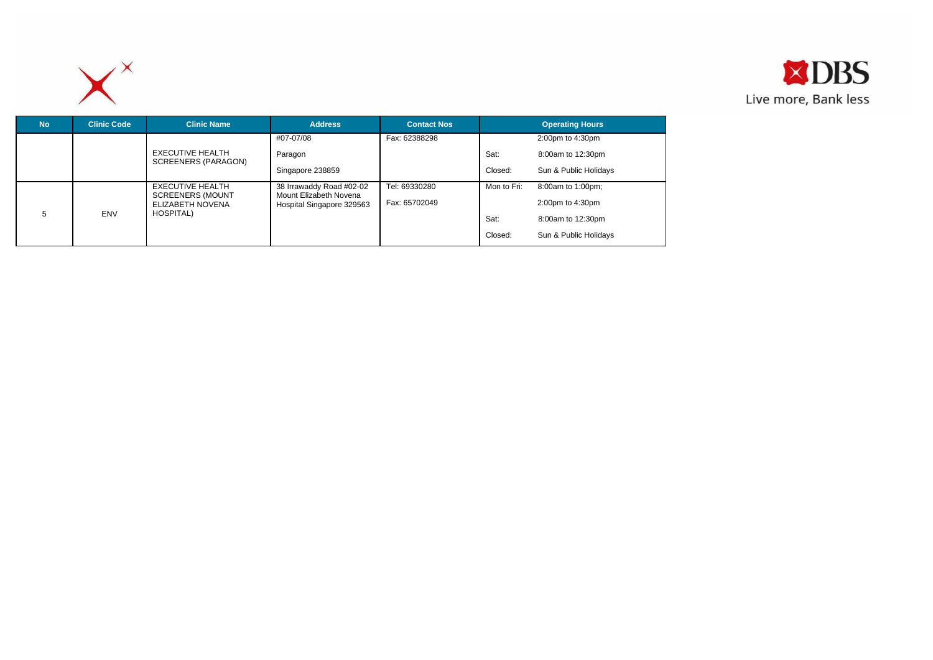



| <b>No</b>       | <b>Clinic Code</b> | <b>Clinic Name</b>                                       | <b>Address</b>                                     | <b>Contact Nos</b> |             | <b>Operating Hours</b> |
|-----------------|--------------------|----------------------------------------------------------|----------------------------------------------------|--------------------|-------------|------------------------|
|                 |                    |                                                          | #07-07/08                                          | Fax: 62388298      |             | 2:00pm to 4:30pm       |
|                 |                    | <b>EXECUTIVE HEALTH</b><br>SCREENERS (PARAGON)           | Paragon                                            |                    | Sat:        | 8:00am to 12:30pm      |
|                 |                    |                                                          | Singapore 238859                                   |                    | Closed:     | Sun & Public Holidays  |
|                 |                    | EXECUTIVE HEALTH                                         | 38 Irrawaddy Road #02-02<br>Mount Elizabeth Novena | Tel: 69330280      | Mon to Fri: | 8:00am to 1:00pm;      |
| 5<br><b>ENV</b> |                    | <b>SCREENERS (MOUNT</b><br>ELIZABETH NOVENA<br>HOSPITAL) | Hospital Singapore 329563                          | Fax: 65702049      |             | 2:00pm to 4:30pm       |
|                 |                    |                                                          |                                                    |                    | Sat:        | 8:00am to 12:30pm      |
|                 |                    |                                                          |                                                    |                    | Closed:     | Sun & Public Holidays  |